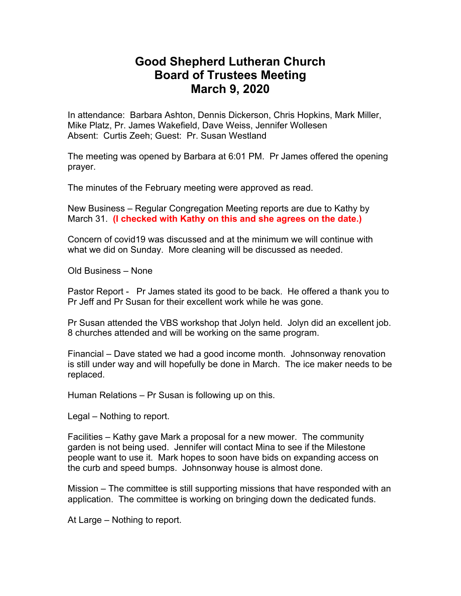## **Good Shepherd Lutheran Church Board of Trustees Meeting March 9, 2020**

In attendance: Barbara Ashton, Dennis Dickerson, Chris Hopkins, Mark Miller, Mike Platz, Pr. James Wakefield, Dave Weiss, Jennifer Wollesen Absent: Curtis Zeeh; Guest: Pr. Susan Westland

The meeting was opened by Barbara at 6:01 PM. Pr James offered the opening prayer.

The minutes of the February meeting were approved as read.

New Business – Regular Congregation Meeting reports are due to Kathy by March 31. **(I checked with Kathy on this and she agrees on the date.)**

Concern of covid19 was discussed and at the minimum we will continue with what we did on Sunday. More cleaning will be discussed as needed.

Old Business – None

Pastor Report - Pr James stated its good to be back. He offered a thank you to Pr Jeff and Pr Susan for their excellent work while he was gone.

Pr Susan attended the VBS workshop that Jolyn held. Jolyn did an excellent job. 8 churches attended and will be working on the same program.

Financial – Dave stated we had a good income month. Johnsonway renovation is still under way and will hopefully be done in March. The ice maker needs to be replaced.

Human Relations – Pr Susan is following up on this.

Legal – Nothing to report.

Facilities – Kathy gave Mark a proposal for a new mower. The community garden is not being used. Jennifer will contact Mina to see if the Milestone people want to use it. Mark hopes to soon have bids on expanding access on the curb and speed bumps. Johnsonway house is almost done.

Mission – The committee is still supporting missions that have responded with an application. The committee is working on bringing down the dedicated funds.

At Large – Nothing to report.